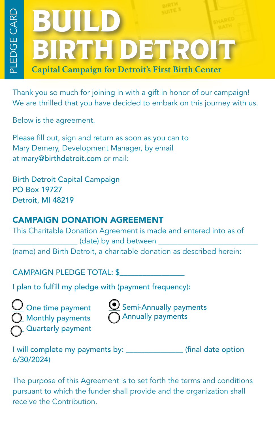## BIRTH DETROIT BUILD **Capital Campaign for Detroit's First Birth Center**

Thank you so much for joining in with a gift in honor of our campaign! We are thrilled that you have decided to embark on this journey with us.

Below is the agreement.

Please fill out, sign and return as soon as you can to Mary Demery, Development Manager, by email at mary@birthdetroit.com or mail:

Birth Detroit Capital Campaign PO Box 19727 Detroit, MI 48219

## CAMPAIGN DONATION AGREEMENT

This Charitable Donation Agreement is made and entered into as of \_\_\_\_\_\_\_\_\_\_\_\_\_\_\_\_\_ (date) by and between \_\_\_\_\_\_\_\_\_\_\_\_\_\_\_\_\_\_\_\_\_\_\_\_\_\_ (name) and Birth Detroit, a charitable donation as described herein:

CAMPAIGN PLEDGE TOTAL: \$

I plan to fulfill my pledge with (payment frequency):

One time payment \_\_\_ Monthly payments \_\_\_ Quarterly payment

 $\underline{\smash{\cup}}$  Semi-Annually payments  $\bigcap$  Annually payments

I will complete my payments by: \_\_\_\_\_\_\_\_\_\_\_\_\_\_\_ (final date option 6/30/2024)

The purpose of this Agreement is to set forth the terms and conditions pursuant to which the funder shall provide and the organization shall receive the Contribution.